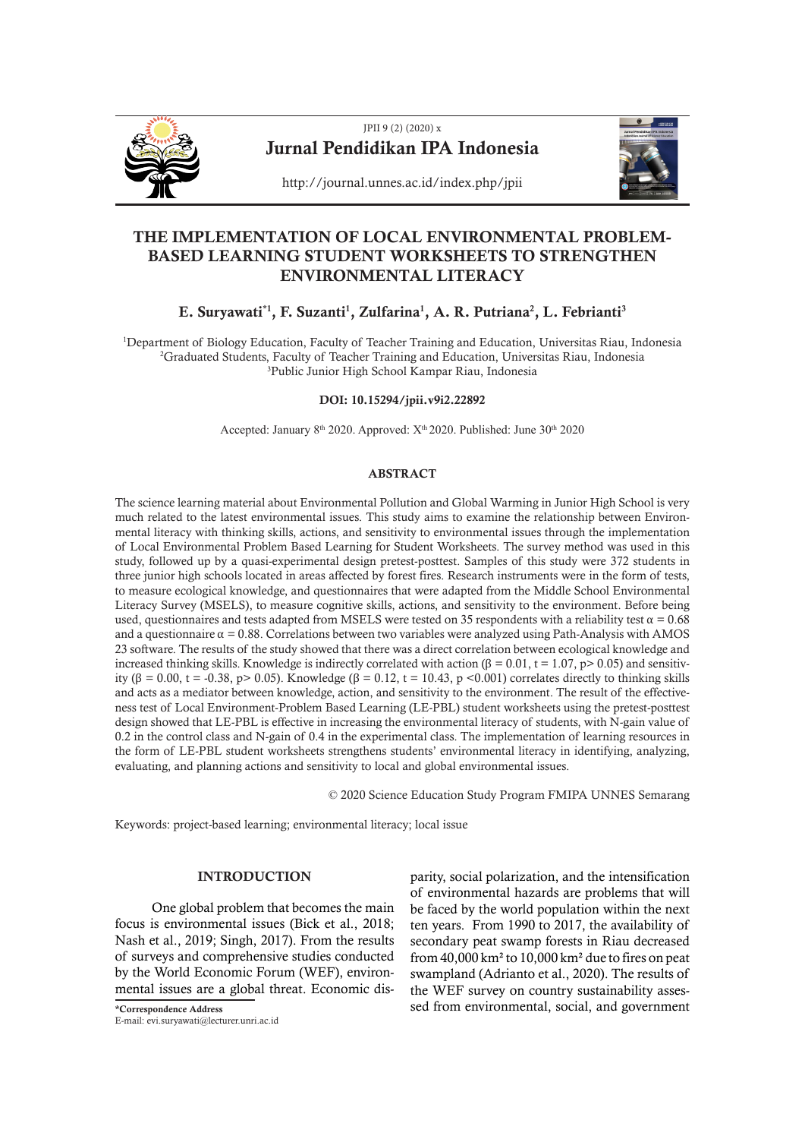

# JPII 9 (2) (2020) x Jurnal Pendidikan IPA Indonesia



http://journal.unnes.ac.id/index.php/jpii

## THE IMPLEMENTATION OF LOCAL ENVIRONMENTAL PROBLEM-BASED LEARNING STUDENT WORKSHEETS TO STRENGTHEN ENVIRONMENTAL LITERACY

### E. Suryawati\*<sup>1</sup>, F. Suzanti<sup>1</sup>, Zulfarina<sup>1</sup>, A. R. Putriana<sup>2</sup>, L. Febrianti<sup>3</sup>

1 Department of Biology Education, Faculty of Teacher Training and Education, Universitas Riau, Indonesia 2 Graduated Students, Faculty of Teacher Training and Education, Universitas Riau, Indonesia 3 Public Junior High School Kampar Riau, Indonesia

#### DOI: 10.15294/jpii.v9i2.22892

Accepted: January 8<sup>th</sup> 2020. Approved: X<sup>th</sup> 2020. Published: June 30<sup>th</sup> 2020

#### ABSTRACT

The science learning material about Environmental Pollution and Global Warming in Junior High School is very much related to the latest environmental issues. This study aims to examine the relationship between Environmental literacy with thinking skills, actions, and sensitivity to environmental issues through the implementation of Local Environmental Problem Based Learning for Student Worksheets. The survey method was used in this study, followed up by a quasi-experimental design pretest-posttest. Samples of this study were 372 students in three junior high schools located in areas affected by forest fires. Research instruments were in the form of tests, to measure ecological knowledge, and questionnaires that were adapted from the Middle School Environmental Literacy Survey (MSELS), to measure cognitive skills, actions, and sensitivity to the environment. Before being used, questionnaires and tests adapted from MSELS were tested on 35 respondents with a reliability test  $\alpha$  = 0.68 and a questionnaire  $\alpha = 0.88$ . Correlations between two variables were analyzed using Path-Analysis with AMOS 23 software. The results of the study showed that there was a direct correlation between ecological knowledge and increased thinking skills. Knowledge is indirectly correlated with action (β = 0.01, t = 1.07, p> 0.05) and sensitivity (β = 0.00, t = -0.38, p> 0.05). Knowledge (β = 0.12, t = 10.43, p <0.001) correlates directly to thinking skills and acts as a mediator between knowledge, action, and sensitivity to the environment. The result of the effectiveness test of Local Environment-Problem Based Learning (LE-PBL) student worksheets using the pretest-posttest design showed that LE-PBL is effective in increasing the environmental literacy of students, with N-gain value of 0.2 in the control class and N-gain of 0.4 in the experimental class. The implementation of learning resources in the form of LE-PBL student worksheets strengthens students' environmental literacy in identifying, analyzing, evaluating, and planning actions and sensitivity to local and global environmental issues.

© 2020 Science Education Study Program FMIPA UNNES Semarang

Keywords: project-based learning; environmental literacy; local issue

#### INTRODUCTION

One global problem that becomes the main focus is environmental issues (Bick et al., 2018; Nash et al., 2019; Singh, 2017). From the results of surveys and comprehensive studies conducted by the World Economic Forum (WEF), environmental issues are a global threat. Economic dis-

E-mail: evi.suryawati@lecturer.unri.ac.id

parity, social polarization, and the intensification of environmental hazards are problems that will be faced by the world population within the next ten years. From 1990 to 2017, the availability of secondary peat swamp forests in Riau decreased from  $40,000$  km<sup>2</sup> to  $10,000$  km<sup>2</sup> due to fires on peat swampland (Adrianto et al., 2020). The results of the WEF survey on country sustainability asses- \*Correspondence Address sed from environmental, social, and government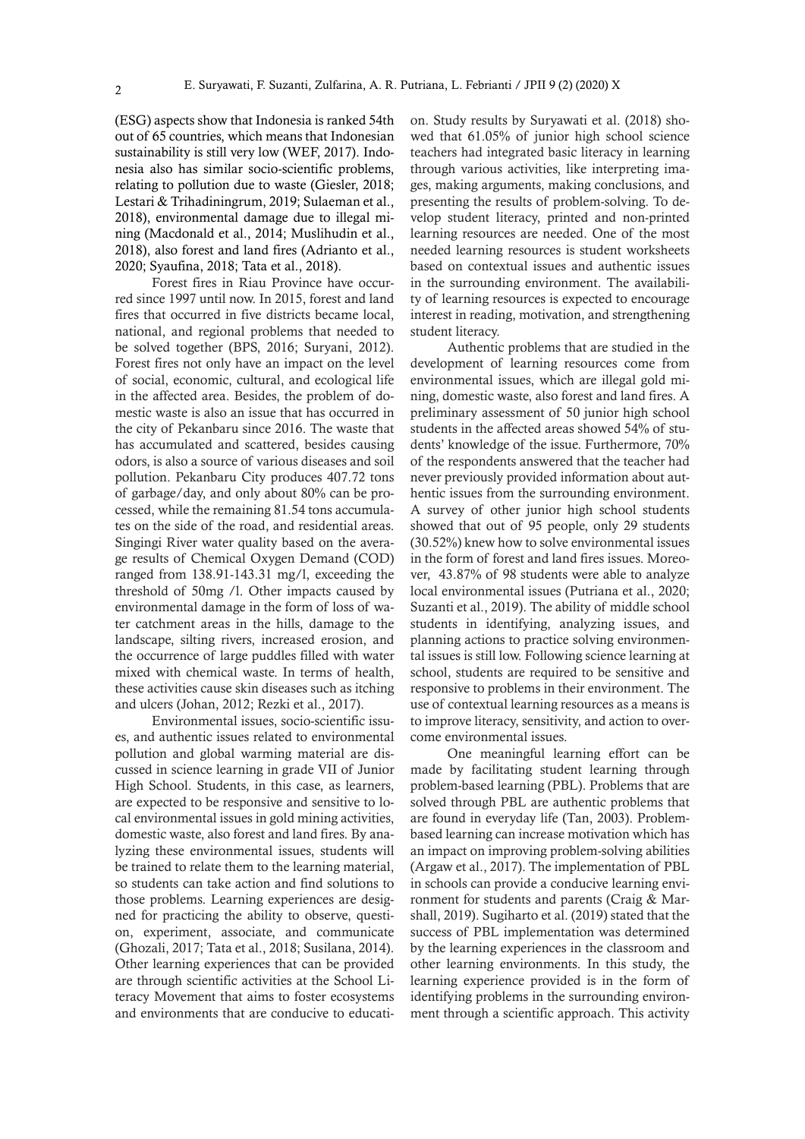(ESG) aspects show that Indonesia is ranked 54th out of 65 countries, which means that Indonesian sustainability is still very low (WEF, 2017). Indonesia also has similar socio-scientific problems, relating to pollution due to waste (Giesler, 2018; Lestari & Trihadiningrum, 2019; Sulaeman et al., 2018), environmental damage due to illegal mining (Macdonald et al., 2014; Muslihudin et al., 2018), also forest and land fires (Adrianto et al., 2020; Syaufina, 2018; Tata et al., 2018).

Forest fires in Riau Province have occurred since 1997 until now. In 2015, forest and land fires that occurred in five districts became local, national, and regional problems that needed to be solved together (BPS, 2016; Suryani, 2012). Forest fires not only have an impact on the level of social, economic, cultural, and ecological life in the affected area. Besides, the problem of domestic waste is also an issue that has occurred in the city of Pekanbaru since 2016. The waste that has accumulated and scattered, besides causing odors, is also a source of various diseases and soil pollution. Pekanbaru City produces 407.72 tons of garbage/day, and only about 80% can be processed, while the remaining 81.54 tons accumulates on the side of the road, and residential areas. Singingi River water quality based on the average results of Chemical Oxygen Demand (COD) ranged from 138.91-143.31 mg/l, exceeding the threshold of 50mg /l. Other impacts caused by environmental damage in the form of loss of water catchment areas in the hills, damage to the landscape, silting rivers, increased erosion, and the occurrence of large puddles filled with water mixed with chemical waste. In terms of health, these activities cause skin diseases such as itching and ulcers (Johan, 2012; Rezki et al., 2017).

Environmental issues, socio-scientific issues, and authentic issues related to environmental pollution and global warming material are discussed in science learning in grade VII of Junior High School. Students, in this case, as learners, are expected to be responsive and sensitive to local environmental issues in gold mining activities, domestic waste, also forest and land fires. By analyzing these environmental issues, students will be trained to relate them to the learning material, so students can take action and find solutions to those problems. Learning experiences are designed for practicing the ability to observe, question, experiment, associate, and communicate (Ghozali, 2017; Tata et al., 2018; Susilana, 2014). Other learning experiences that can be provided are through scientific activities at the School Literacy Movement that aims to foster ecosystems and environments that are conducive to education. Study results by Suryawati et al. (2018) showed that 61.05% of junior high school science teachers had integrated basic literacy in learning through various activities, like interpreting images, making arguments, making conclusions, and presenting the results of problem-solving. To develop student literacy, printed and non-printed learning resources are needed. One of the most needed learning resources is student worksheets based on contextual issues and authentic issues in the surrounding environment. The availability of learning resources is expected to encourage interest in reading, motivation, and strengthening student literacy.

Authentic problems that are studied in the development of learning resources come from environmental issues, which are illegal gold mining, domestic waste, also forest and land fires. A preliminary assessment of 50 junior high school students in the affected areas showed 54% of students' knowledge of the issue. Furthermore, 70% of the respondents answered that the teacher had never previously provided information about authentic issues from the surrounding environment. A survey of other junior high school students showed that out of 95 people, only 29 students (30.52%) knew how to solve environmental issues in the form of forest and land fires issues. Moreover, 43.87% of 98 students were able to analyze local environmental issues (Putriana et al., 2020; Suzanti et al., 2019). The ability of middle school students in identifying, analyzing issues, and planning actions to practice solving environmental issues is still low. Following science learning at school, students are required to be sensitive and responsive to problems in their environment. The use of contextual learning resources as a means is to improve literacy, sensitivity, and action to overcome environmental issues.

One meaningful learning effort can be made by facilitating student learning through problem-based learning (PBL). Problems that are solved through PBL are authentic problems that are found in everyday life (Tan, 2003). Problembased learning can increase motivation which has an impact on improving problem-solving abilities (Argaw et al., 2017). The implementation of PBL in schools can provide a conducive learning environment for students and parents (Craig & Marshall, 2019). Sugiharto et al. (2019) stated that the success of PBL implementation was determined by the learning experiences in the classroom and other learning environments. In this study, the learning experience provided is in the form of identifying problems in the surrounding environment through a scientific approach. This activity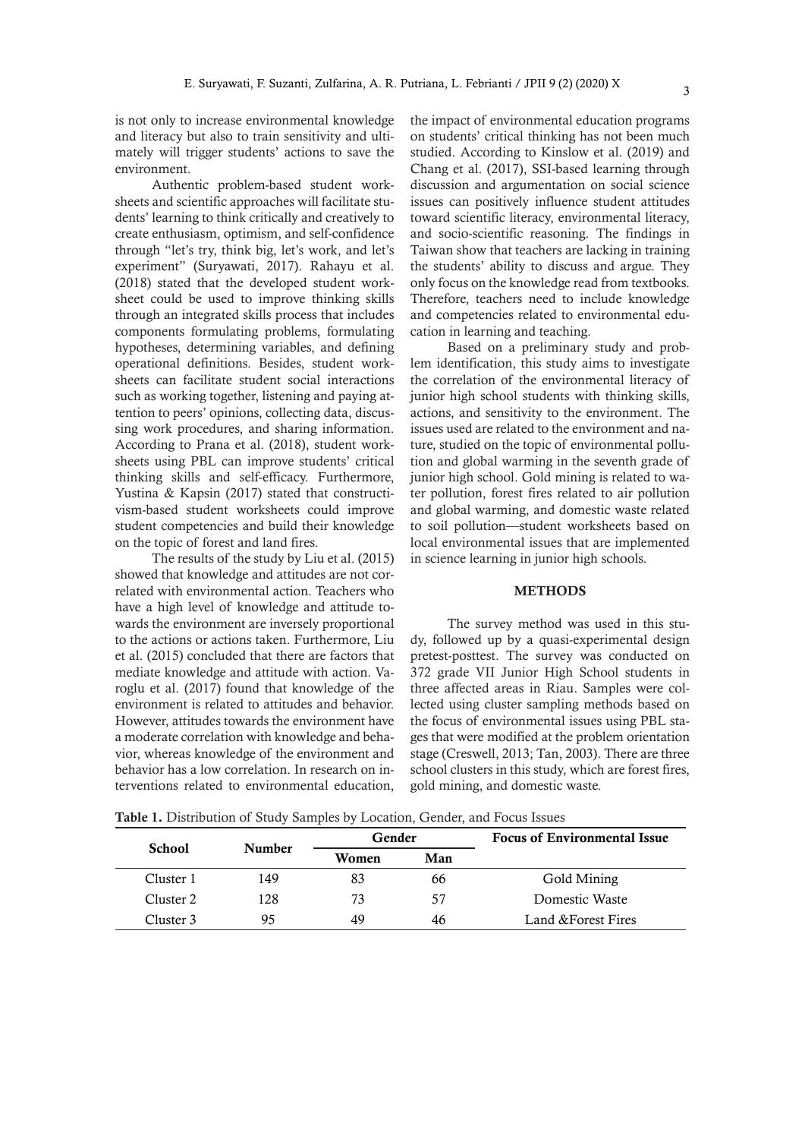is not only to increase environmental knowledge and literacy but also to train sensitivity and ultimately will trigger students' actions to save the environment.

Authentic problem-based student worksheets and scientific approaches will facilitate students' learning to think critically and creatively to create enthusiasm, optimism, and self-confidence through "let's try, think big, let's work, and let's experiment" (Suryawati, 2017). Rahayu et al. (2018) stated that the developed student worksheet could be used to improve thinking skills through an integrated skills process that includes components formulating problems, formulating hypotheses, determining variables, and defining operational definitions. Besides, student worksheets can facilitate student social interactions such as working together, listening and paying attention to peers' opinions, collecting data, discussing work procedures, and sharing information. According to Prana et al. (2018), student worksheets using PBL can improve students' critical thinking skills and self-efficacy. Furthermore, Yustina & Kapsin (2017) stated that constructivism-based student worksheets could improve student competencies and build their knowledge on the topic of forest and land fires.

The results of the study by Liu et al. (2015) showed that knowledge and attitudes are not correlated with environmental action. Teachers who have a high level of knowledge and attitude towards the environment are inversely proportional to the actions or actions taken. Furthermore, Liu et al. (2015) concluded that there are factors that mediate knowledge and attitude with action. Varoglu et al. (2017) found that knowledge of the environment is related to attitudes and behavior. However, attitudes towards the environment have a moderate correlation with knowledge and behavior, whereas knowledge of the environment and behavior has a low correlation. In research on interventions related to environmental education,

the impact of environmental education programs on students' critical thinking has not been much studied. According to Kinslow et al. (2019) and Chang et al. (2017), SSI-based learning through discussion and argumentation on social science issues can positively influence student attitudes toward scientific literacy, environmental literacy, and socio-scientific reasoning. The findings in Taiwan show that teachers are lacking in training the students' ability to discuss and argue. They only focus on the knowledge read from textbooks. Therefore, teachers need to include knowledge and competencies related to environmental education in learning and teaching.

Based on a preliminary study and problem identification, this study aims to investigate the correlation of the environmental literacy of junior high school students with thinking skills, actions, and sensitivity to the environment. The issues used are related to the environment and nature, studied on the topic of environmental pollution and global warming in the seventh grade of junior high school. Gold mining is related to water pollution, forest fires related to air pollution and global warming, and domestic waste related to soil pollution—student worksheets based on local environmental issues that are implemented in science learning in junior high schools.

#### **METHODS**

The survey method was used in this study, followed up by a quasi-experimental design pretest-posttest. The survey was conducted on 372 grade VII Junior High School students in three affected areas in Riau. Samples were collected using cluster sampling methods based on the focus of environmental issues using PBL stages that were modified at the problem orientation stage (Creswell, 2013; Tan, 2003). There are three school clusters in this study, which are forest fires, gold mining, and domestic waste.

Table 1. Distribution of Study Samples by Location, Gender, and Focus Issues

| <b>School</b> | <b>Number</b> | Gender |     | <b>Focus of Environmental Issue</b> |
|---------------|---------------|--------|-----|-------------------------------------|
|               |               | Women  | Man |                                     |
| Cluster 1     | 149           | 83     | 66  | Gold Mining                         |
| Cluster 2     | 128           | 73     | 57  | Domestic Waste                      |
| Cluster 3     | 95            | 49     | 46  | Land & Forest Fires                 |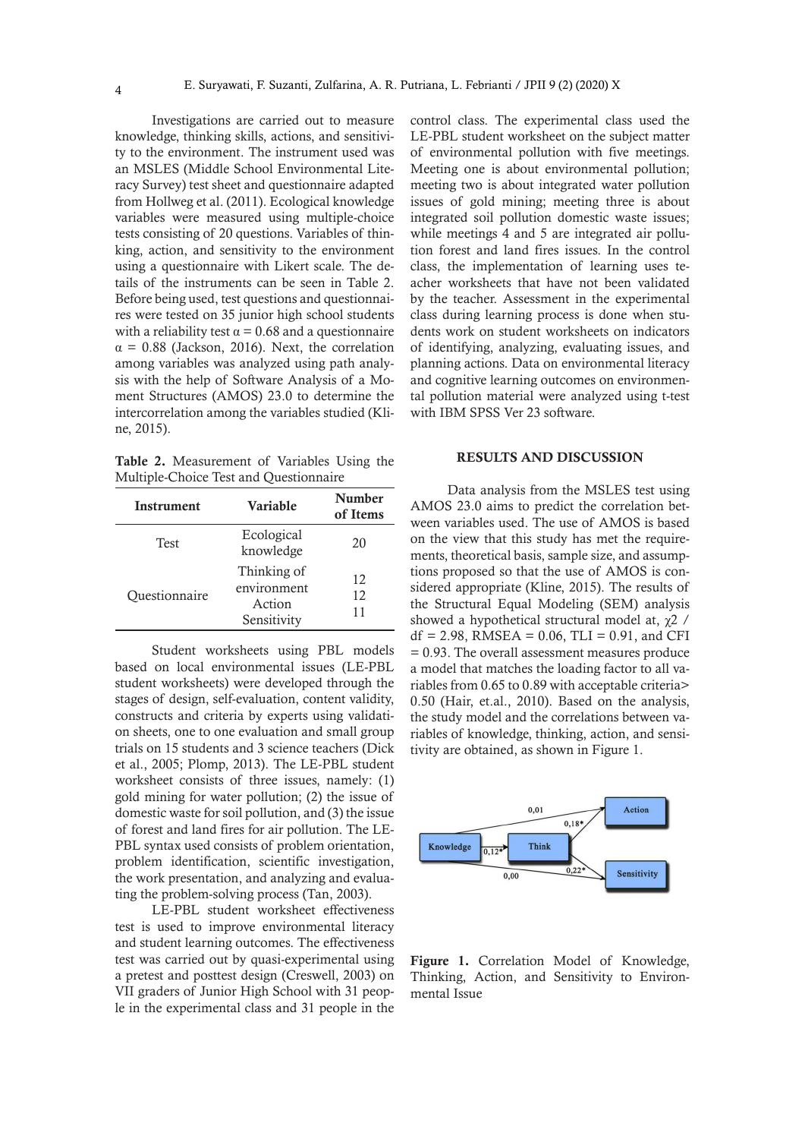Investigations are carried out to measure knowledge, thinking skills, actions, and sensitivity to the environment. The instrument used was an MSLES (Middle School Environmental Literacy Survey) test sheet and questionnaire adapted from Hollweg et al. (2011). Ecological knowledge variables were measured using multiple-choice tests consisting of 20 questions. Variables of thinking, action, and sensitivity to the environment using a questionnaire with Likert scale. The details of the instruments can be seen in Table 2. Before being used, test questions and questionnaires were tested on 35 junior high school students with a reliability test  $\alpha = 0.68$  and a questionnaire  $\alpha$  = 0.88 (Jackson, 2016). Next, the correlation among variables was analyzed using path analysis with the help of Software Analysis of a Moment Structures (AMOS) 23.0 to determine the intercorrelation among the variables studied (Kline, 2015).

Table 2. Measurement of Variables Using the Multiple-Choice Test and Questionnaire

| Instrument    | Variable                                            |                |
|---------------|-----------------------------------------------------|----------------|
| <b>Test</b>   | Ecological<br>knowledge                             | 20             |
| Questionnaire | Thinking of<br>environment<br>Action<br>Sensitivity | 12<br>12<br>11 |

Student worksheets using PBL models based on local environmental issues (LE-PBL student worksheets) were developed through the stages of design, self-evaluation, content validity, constructs and criteria by experts using validation sheets, one to one evaluation and small group trials on 15 students and 3 science teachers (Dick et al., 2005; Plomp, 2013). The LE-PBL student worksheet consists of three issues, namely: (1) gold mining for water pollution; (2) the issue of domestic waste for soil pollution, and (3) the issue of forest and land fires for air pollution. The LE-PBL syntax used consists of problem orientation, problem identification, scientific investigation, the work presentation, and analyzing and evaluating the problem-solving process (Tan, 2003).

LE-PBL student worksheet effectiveness test is used to improve environmental literacy and student learning outcomes. The effectiveness test was carried out by quasi-experimental using a pretest and posttest design (Creswell, 2003) on VII graders of Junior High School with 31 people in the experimental class and 31 people in the

control class. The experimental class used the LE-PBL student worksheet on the subject matter of environmental pollution with five meetings. Meeting one is about environmental pollution; meeting two is about integrated water pollution issues of gold mining; meeting three is about integrated soil pollution domestic waste issues; while meetings 4 and 5 are integrated air pollution forest and land fires issues. In the control class, the implementation of learning uses teacher worksheets that have not been validated by the teacher. Assessment in the experimental class during learning process is done when students work on student worksheets on indicators of identifying, analyzing, evaluating issues, and planning actions. Data on environmental literacy and cognitive learning outcomes on environmental pollution material were analyzed using t-test with IBM SPSS Ver 23 software.

#### RESULTS AND DISCUSSION

Data analysis from the MSLES test using AMOS 23.0 aims to predict the correlation between variables used. The use of AMOS is based on the view that this study has met the requirements, theoretical basis, sample size, and assumptions proposed so that the use of AMOS is considered appropriate (Kline, 2015). The results of the Structural Equal Modeling (SEM) analysis showed a hypothetical structural model at, χ2 /  $df = 2.98$ , RMSEA = 0.06, TLI = 0.91, and CFI = 0.93. The overall assessment measures produce a model that matches the loading factor to all variables from 0.65 to 0.89 with acceptable criteria> 0.50 (Hair, et.al., 2010). Based on the analysis, the study model and the correlations between variables of knowledge, thinking, action, and sensitivity are obtained, as shown in Figure 1.



Figure 1. Correlation Model of Knowledge, Thinking, Action, and Sensitivity to Environmental Issue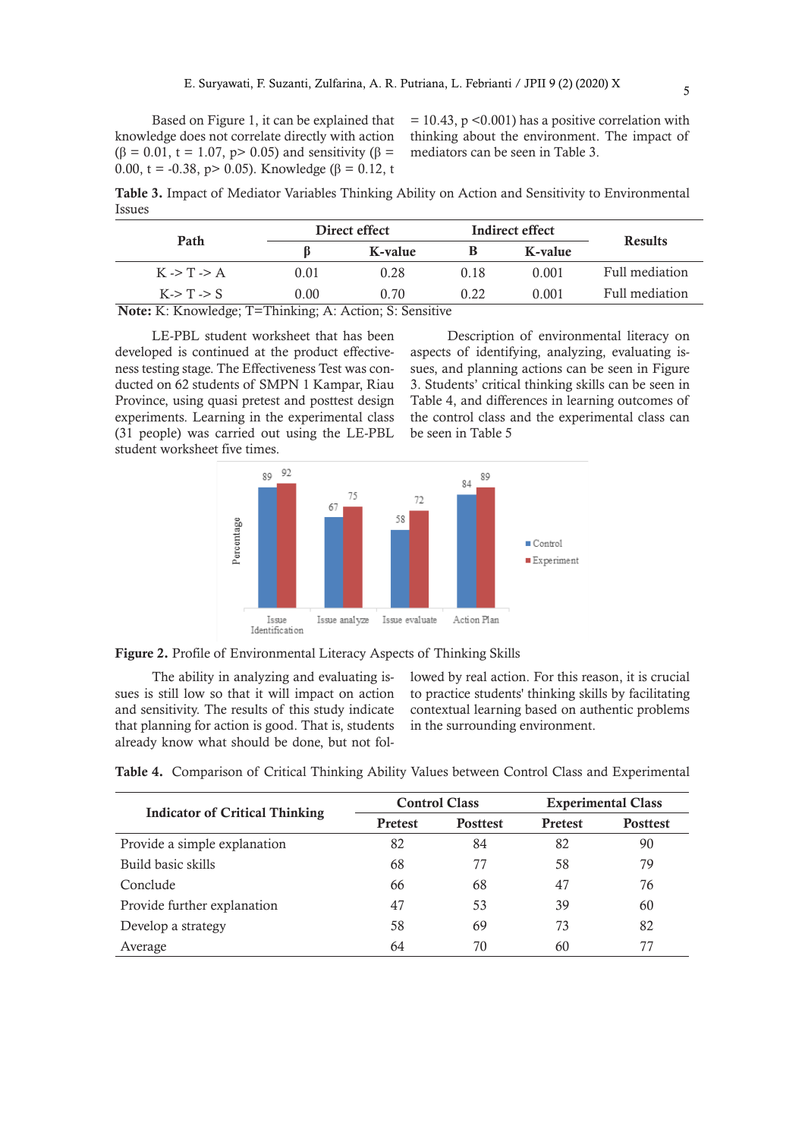Based on Figure 1, it can be explained that knowledge does not correlate directly with action  $(β = 0.01, t = 1.07, p > 0.05)$  and sensitivity  $(β =$ 0.00, t = -0.38, p > 0.05). Knowledge (β = 0.12, t

 $= 10.43$ , p <0.001) has a positive correlation with thinking about the environment. The impact of mediators can be seen in Table 3.

Table 3. Impact of Mediator Variables Thinking Ability on Action and Sensitivity to Environmental Issues

| Path                                                                                                                                                                                                                                                                                                          | Direct effect |         |      | Indirect effect | <b>Results</b> |  |
|---------------------------------------------------------------------------------------------------------------------------------------------------------------------------------------------------------------------------------------------------------------------------------------------------------------|---------------|---------|------|-----------------|----------------|--|
|                                                                                                                                                                                                                                                                                                               |               | K-value |      | K-value         |                |  |
| $K \rightarrow T \rightarrow A$                                                                                                                                                                                                                                                                               | 0.01          | 0.28    | 0.18 | 0.001           | Full mediation |  |
| K > T > S                                                                                                                                                                                                                                                                                                     | 0.00          | 0.70    | 0.22 | 0.001           | Full mediation |  |
| $\mathbf{M}$ = 4 = $\mathbf{L}$ . $\mathbf{L}$ , $\mathbf{L}$ = $\mathbf{L}$ = $\mathbf{L}$ = $\mathbf{L}$ = $\mathbf{L}$ = $\mathbf{L}$ = $\mathbf{L}$ = $\mathbf{L}$ = $\mathbf{L}$ = $\mathbf{L}$ = $\mathbf{L}$ = $\mathbf{L}$ = $\mathbf{L}$ = $\mathbf{L}$ = $\mathbf{L}$ = $\mathbf{L}$ = $\mathbf{L}$ |               |         |      |                 |                |  |

Note: K: Knowledge; T=Thinking; A: Action; S: Sensitive

LE-PBL student worksheet that has been developed is continued at the product effectiveness testing stage. The Effectiveness Test was conducted on 62 students of SMPN 1 Kampar, Riau Province, using quasi pretest and posttest design experiments. Learning in the experimental class (31 people) was carried out using the LE-PBL student worksheet five times.

Description of environmental literacy on aspects of identifying, analyzing, evaluating issues, and planning actions can be seen in Figure 3. Students' critical thinking skills can be seen in Table 4, and differences in learning outcomes of the control class and the experimental class can be seen in Table 5



Figure 2. Profile of Environmental Literacy Aspects of Thinking Skills

The ability in analyzing and evaluating issues is still low so that it will impact on action and sensitivity. The results of this study indicate that planning for action is good. That is, students already know what should be done, but not followed by real action. For this reason, it is crucial to practice students' thinking skills by facilitating contextual learning based on authentic problems in the surrounding environment.

|  |  | Table 4. Comparison of Critical Thinking Ability Values between Control Class and Experimental |  |  |
|--|--|------------------------------------------------------------------------------------------------|--|--|
|  |  |                                                                                                |  |  |

| <b>Indicator of Critical Thinking</b> |                | <b>Control Class</b> | <b>Experimental Class</b> |                 |  |
|---------------------------------------|----------------|----------------------|---------------------------|-----------------|--|
|                                       | <b>Pretest</b> | <b>Posttest</b>      | <b>Pretest</b>            | <b>Posttest</b> |  |
| Provide a simple explanation          | 82             | 84                   | 82                        | 90              |  |
| Build basic skills                    | 68             | 77                   | 58                        | 79              |  |
| Conclude                              | 66             | 68                   | 47                        | 76              |  |
| Provide further explanation           | 47             | 53                   | 39                        | 60              |  |
| Develop a strategy                    | 58             | 69                   | 73                        | 82              |  |
| Average                               | 64             | 70                   | 60                        | 77              |  |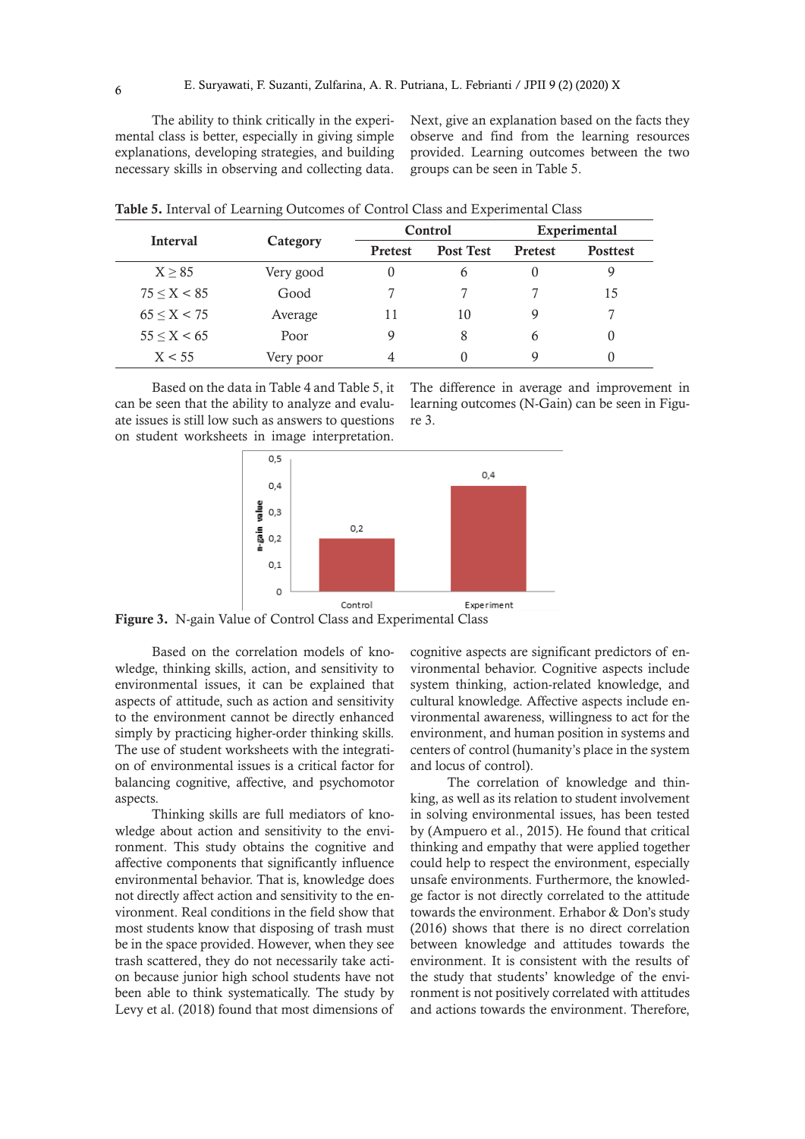The ability to think critically in the experimental class is better, especially in giving simple explanations, developing strategies, and building necessary skills in observing and collecting data. Next, give an explanation based on the facts they observe and find from the learning resources provided. Learning outcomes between the two groups can be seen in Table 5.

|                   | ຼ         |                |                  |                |                 |  |
|-------------------|-----------|----------------|------------------|----------------|-----------------|--|
|                   |           |                | Control          | Experimental   |                 |  |
| <b>Interval</b>   | Category  | <b>Pretest</b> | <b>Post Test</b> | <b>Pretest</b> | <b>Posttest</b> |  |
| X > 85            | Very good | 0              | 6                | 0              |                 |  |
| 75 < X < 85       | Good      |                |                  |                | 15              |  |
| $65 \le X \le 75$ | Average   | 11             | 10               | 9              |                 |  |
| 55 < X < 65       | Poor      | 9              | 8                | 6              | U               |  |
| X < 55            | Very poor | 4              | 0                | Q              |                 |  |

Table 5. Interval of Learning Outcomes of Control Class and Experimental Class

Based on the data in Table 4 and Table 5, it can be seen that the ability to analyze and evaluate issues is still low such as answers to questions on student worksheets in image interpretation.

The difference in average and improvement in learning outcomes (N-Gain) can be seen in Figure 3.



Figure 3. N-gain Value of Control Class and Experimental Class

Based on the correlation models of knowledge, thinking skills, action, and sensitivity to environmental issues, it can be explained that aspects of attitude, such as action and sensitivity to the environment cannot be directly enhanced simply by practicing higher-order thinking skills. The use of student worksheets with the integration of environmental issues is a critical factor for balancing cognitive, affective, and psychomotor aspects.

Thinking skills are full mediators of knowledge about action and sensitivity to the environment. This study obtains the cognitive and affective components that significantly influence environmental behavior. That is, knowledge does not directly affect action and sensitivity to the environment. Real conditions in the field show that most students know that disposing of trash must be in the space provided. However, when they see trash scattered, they do not necessarily take action because junior high school students have not been able to think systematically. The study by Levy et al. (2018) found that most dimensions of

cognitive aspects are significant predictors of environmental behavior. Cognitive aspects include system thinking, action-related knowledge, and cultural knowledge. Affective aspects include environmental awareness, willingness to act for the environment, and human position in systems and centers of control (humanity's place in the system and locus of control).

The correlation of knowledge and thinking, as well as its relation to student involvement in solving environmental issues, has been tested by (Ampuero et al., 2015). He found that critical thinking and empathy that were applied together could help to respect the environment, especially unsafe environments. Furthermore, the knowledge factor is not directly correlated to the attitude towards the environment. Erhabor & Don's study (2016) shows that there is no direct correlation between knowledge and attitudes towards the environment. It is consistent with the results of the study that students' knowledge of the environment is not positively correlated with attitudes and actions towards the environment. Therefore,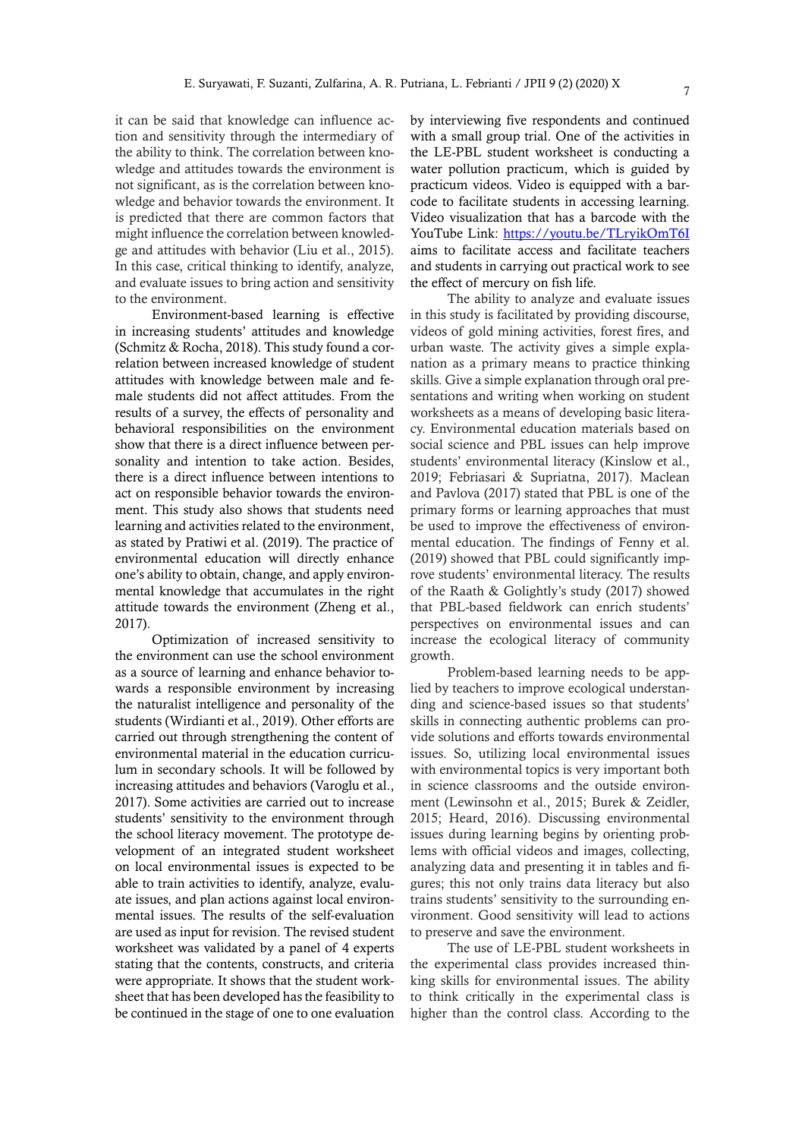it can be said that knowledge can influence action and sensitivity through the intermediary of the ability to think. The correlation between knowledge and attitudes towards the environment is not significant, as is the correlation between knowledge and behavior towards the environment. It is predicted that there are common factors that might influence the correlation between knowledge and attitudes with behavior (Liu et al., 2015). In this case, critical thinking to identify, analyze, and evaluate issues to bring action and sensitivity to the environment.

Environment-based learning is effective in increasing students' attitudes and knowledge (Schmitz & Rocha, 2018). This study found a correlation between increased knowledge of student attitudes with knowledge between male and female students did not affect attitudes. From the results of a survey, the effects of personality and behavioral responsibilities on the environment show that there is a direct influence between personality and intention to take action. Besides, there is a direct influence between intentions to act on responsible behavior towards the environment. This study also shows that students need learning and activities related to the environment, as stated by Pratiwi et al. (2019). The practice of environmental education will directly enhance one's ability to obtain, change, and apply environmental knowledge that accumulates in the right attitude towards the environment (Zheng et al., 2017).

Optimization of increased sensitivity to the environment can use the school environment as a source of learning and enhance behavior towards a responsible environment by increasing the naturalist intelligence and personality of the students (Wirdianti et al., 2019). Other efforts are carried out through strengthening the content of environmental material in the education curriculum in secondary schools. It will be followed by increasing attitudes and behaviors (Varoglu et al., 2017). Some activities are carried out to increase students' sensitivity to the environment through the school literacy movement. The prototype development of an integrated student worksheet on local environmental issues is expected to be able to train activities to identify, analyze, evaluate issues, and plan actions against local environmental issues. The results of the self-evaluation are used as input for revision. The revised student worksheet was validated by a panel of 4 experts stating that the contents, constructs, and criteria were appropriate. It shows that the student worksheet that has been developed has the feasibility to be continued in the stage of one to one evaluation

by interviewing five respondents and continued with a small group trial. One of the activities in the LE-PBL student worksheet is conducting a water pollution practicum, which is guided by practicum videos. Video is equipped with a barcode to facilitate students in accessing learning. Video visualization that has a barcode with the YouTube Link: https://youtu.be/TLryikOmT6I aims to facilitate access and facilitate teachers and students in carrying out practical work to see the effect of mercury on fish life.

The ability to analyze and evaluate issues in this study is facilitated by providing discourse, videos of gold mining activities, forest fires, and urban waste. The activity gives a simple explanation as a primary means to practice thinking skills. Give a simple explanation through oral presentations and writing when working on student worksheets as a means of developing basic literacy. Environmental education materials based on social science and PBL issues can help improve students' environmental literacy (Kinslow et al., 2019; Febriasari & Supriatna, 2017). Maclean and Pavlova (2017) stated that PBL is one of the primary forms or learning approaches that must be used to improve the effectiveness of environmental education. The findings of Fenny et al. (2019) showed that PBL could significantly improve students' environmental literacy. The results of the Raath & Golightly's study (2017) showed that PBL-based fieldwork can enrich students' perspectives on environmental issues and can increase the ecological literacy of community growth.

Problem-based learning needs to be applied by teachers to improve ecological understanding and science-based issues so that students' skills in connecting authentic problems can provide solutions and efforts towards environmental issues. So, utilizing local environmental issues with environmental topics is very important both in science classrooms and the outside environment (Lewinsohn et al., 2015; Burek & Zeidler, 2015; Heard, 2016). Discussing environmental issues during learning begins by orienting problems with official videos and images, collecting, analyzing data and presenting it in tables and figures; this not only trains data literacy but also trains students' sensitivity to the surrounding environment. Good sensitivity will lead to actions to preserve and save the environment.

The use of LE-PBL student worksheets in the experimental class provides increased thinking skills for environmental issues. The ability to think critically in the experimental class is higher than the control class. According to the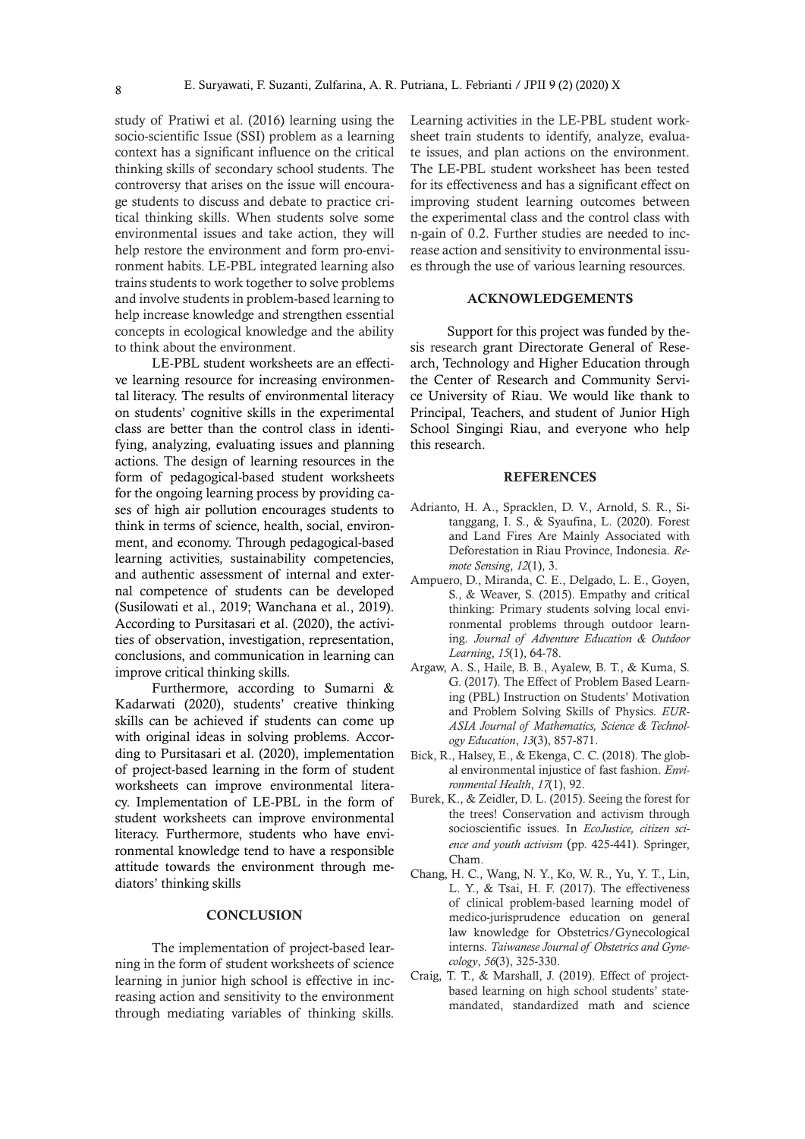study of Pratiwi et al. (2016) learning using the socio-scientific Issue (SSI) problem as a learning context has a significant influence on the critical thinking skills of secondary school students. The controversy that arises on the issue will encourage students to discuss and debate to practice critical thinking skills. When students solve some environmental issues and take action, they will help restore the environment and form pro-environment habits. LE-PBL integrated learning also trains students to work together to solve problems and involve students in problem-based learning to help increase knowledge and strengthen essential concepts in ecological knowledge and the ability to think about the environment.

LE-PBL student worksheets are an effective learning resource for increasing environmental literacy. The results of environmental literacy on students' cognitive skills in the experimental class are better than the control class in identifying, analyzing, evaluating issues and planning actions. The design of learning resources in the form of pedagogical-based student worksheets for the ongoing learning process by providing cases of high air pollution encourages students to think in terms of science, health, social, environment, and economy. Through pedagogical-based learning activities, sustainability competencies, and authentic assessment of internal and external competence of students can be developed (Susilowati et al., 2019; Wanchana et al., 2019). According to Pursitasari et al. (2020), the activities of observation, investigation, representation, conclusions, and communication in learning can improve critical thinking skills.

Furthermore, according to Sumarni & Kadarwati (2020), students' creative thinking skills can be achieved if students can come up with original ideas in solving problems. According to Pursitasari et al. (2020), implementation of project-based learning in the form of student worksheets can improve environmental literacy. Implementation of LE-PBL in the form of student worksheets can improve environmental literacy. Furthermore, students who have environmental knowledge tend to have a responsible attitude towards the environment through mediators' thinking skills

#### **CONCLUSION**

The implementation of project-based learning in the form of student worksheets of science learning in junior high school is effective in increasing action and sensitivity to the environment through mediating variables of thinking skills.

Learning activities in the LE-PBL student worksheet train students to identify, analyze, evaluate issues, and plan actions on the environment. The LE-PBL student worksheet has been tested for its effectiveness and has a significant effect on improving student learning outcomes between the experimental class and the control class with n-gain of 0.2. Further studies are needed to increase action and sensitivity to environmental issues through the use of various learning resources.

#### ACKNOWLEDGEMENTS

Support for this project was funded by thesis research grant Directorate General of Research, Technology and Higher Education through the Center of Research and Community Service University of Riau. We would like thank to Principal, Teachers, and student of Junior High School Singingi Riau, and everyone who help this research.

#### REFERENCES

- Adrianto, H. A., Spracklen, D. V., Arnold, S. R., Sitanggang, I. S., & Syaufina, L. (2020). Forest and Land Fires Are Mainly Associated with Deforestation in Riau Province, Indonesia. *Remote Sensing*, *12*(1), 3.
- Ampuero, D., Miranda, C. E., Delgado, L. E., Goyen, S., & Weaver, S. (2015). Empathy and critical thinking: Primary students solving local environmental problems through outdoor learning. *Journal of Adventure Education & Outdoor Learning*, *15*(1), 64-78.
- Argaw, A. S., Haile, B. B., Ayalew, B. T., & Kuma, S. G. (2017). The Effect of Problem Based Learning (PBL) Instruction on Students' Motivation and Problem Solving Skills of Physics. *EUR-ASIA Journal of Mathematics, Science & Technology Education*, *13*(3), 857-871.
- Bick, R., Halsey, E., & Ekenga, C. C. (2018). The global environmental injustice of fast fashion. *Environmental Health*, *17*(1), 92.
- Burek, K., & Zeidler, D. L. (2015). Seeing the forest for the trees! Conservation and activism through socioscientific issues. In *EcoJustice, citizen science and youth activism* (pp. 425-441). Springer, Cham.
- Chang, H. C., Wang, N. Y., Ko, W. R., Yu, Y. T., Lin, L. Y., & Tsai, H. F. (2017). The effectiveness of clinical problem-based learning model of medico-jurisprudence education on general law knowledge for Obstetrics/Gynecological interns. *Taiwanese Journal of Obstetrics and Gynecology*, *56*(3), 325-330.
- Craig, T. T., & Marshall, J. (2019). Effect of project‐ based learning on high school students' state‐ mandated, standardized math and science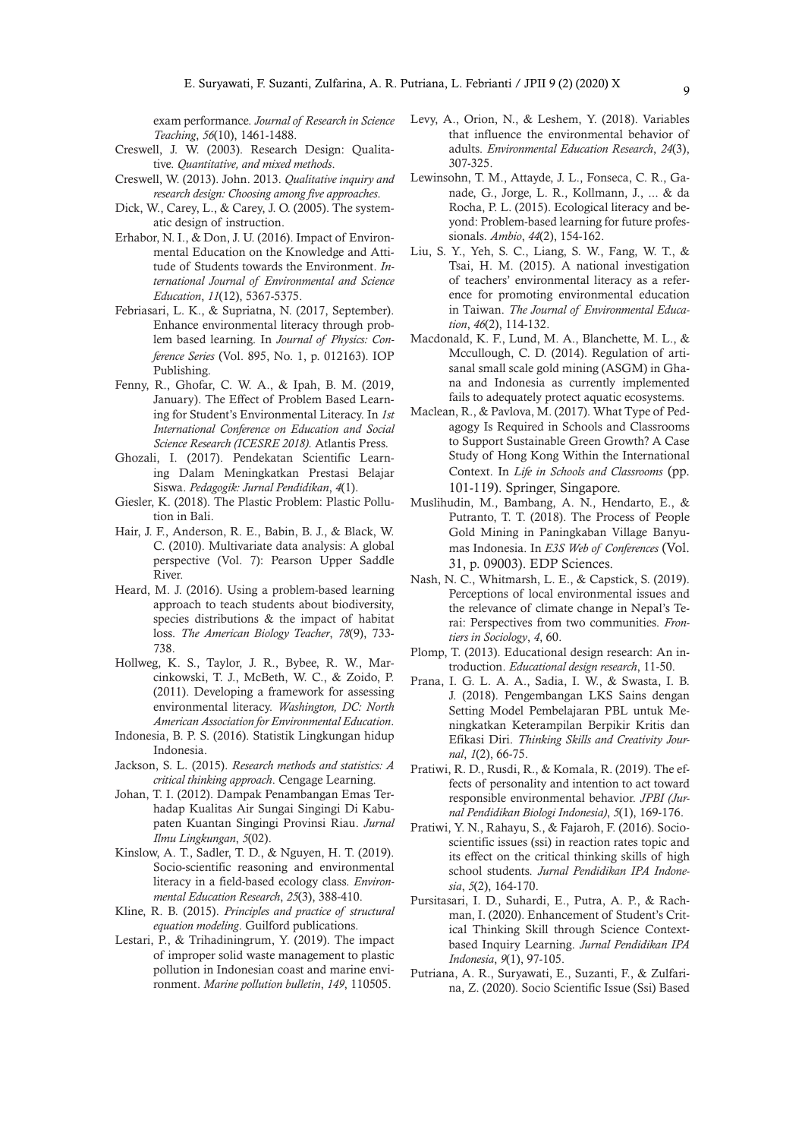exam performance. *Journal of Research in Science Teaching*, *56*(10), 1461-1488.

- Creswell, J. W. (2003). Research Design: Qualitative. *Quantitative, and mixed methods*.
- Creswell, W. (2013). John. 2013. *Qualitative inquiry and research design: Choosing among five approaches*.
- Dick, W., Carey, L., & Carey, J. O. (2005). The systematic design of instruction.
- Erhabor, N. I., & Don, J. U. (2016). Impact of Environmental Education on the Knowledge and Attitude of Students towards the Environment. *International Journal of Environmental and Science Education*, *11*(12), 5367-5375.
- Febriasari, L. K., & Supriatna, N. (2017, September). Enhance environmental literacy through problem based learning. In *Journal of Physics: Conference Series* (Vol. 895, No. 1, p. 012163). IOP Publishing.
- Fenny, R., Ghofar, C. W. A., & Ipah, B. M. (2019, January). The Effect of Problem Based Learning for Student's Environmental Literacy. In *1st International Conference on Education and Social Science Research (ICESRE 2018)*. Atlantis Press.
- Ghozali, I. (2017). Pendekatan Scientific Learning Dalam Meningkatkan Prestasi Belajar Siswa. *Pedagogik: Jurnal Pendidikan*, *4*(1).
- Giesler, K. (2018). The Plastic Problem: Plastic Pollution in Bali.
- Hair, J. F., Anderson, R. E., Babin, B. J., & Black, W. C. (2010). Multivariate data analysis: A global perspective (Vol. 7): Pearson Upper Saddle River.
- Heard, M. J. (2016). Using a problem-based learning approach to teach students about biodiversity, species distributions & the impact of habitat loss. *The American Biology Teacher*, *78*(9), 733- 738.
- Hollweg, K. S., Taylor, J. R., Bybee, R. W., Marcinkowski, T. J., McBeth, W. C., & Zoido, P. (2011). Developing a framework for assessing environmental literacy. *Washington, DC: North American Association for Environmental Education*.
- Indonesia, B. P. S. (2016). Statistik Lingkungan hidup Indonesia.
- Jackson, S. L. (2015). *Research methods and statistics: A critical thinking approach*. Cengage Learning.
- Johan, T. I. (2012). Dampak Penambangan Emas Terhadap Kualitas Air Sungai Singingi Di Kabupaten Kuantan Singingi Provinsi Riau. *Jurnal Ilmu Lingkungan*, *5*(02).
- Kinslow, A. T., Sadler, T. D., & Nguyen, H. T. (2019). Socio-scientific reasoning and environmental literacy in a field-based ecology class. *Environmental Education Research*, *25*(3), 388-410.
- Kline, R. B. (2015). *Principles and practice of structural equation modeling*. Guilford publications.
- Lestari, P., & Trihadiningrum, Y. (2019). The impact of improper solid waste management to plastic pollution in Indonesian coast and marine environment. *Marine pollution bulletin*, *149*, 110505.
- Levy, A., Orion, N., & Leshem, Y. (2018). Variables that influence the environmental behavior of adults. *Environmental Education Research*, *24*(3), 307-325.
- Lewinsohn, T. M., Attayde, J. L., Fonseca, C. R., Ganade, G., Jorge, L. R., Kollmann, J., ... & da Rocha, P. L. (2015). Ecological literacy and beyond: Problem-based learning for future professionals. *Ambio*, *44*(2), 154-162.
- Liu, S. Y., Yeh, S. C., Liang, S. W., Fang, W. T., & Tsai, H. M. (2015). A national investigation of teachers' environmental literacy as a reference for promoting environmental education in Taiwan. *The Journal of Environmental Education*, *46*(2), 114-132.
- Macdonald, K. F., Lund, M. A., Blanchette, M. L., & Mccullough, C. D. (2014). Regulation of artisanal small scale gold mining (ASGM) in Ghana and Indonesia as currently implemented fails to adequately protect aquatic ecosystems.
- Maclean, R., & Pavlova, M. (2017). What Type of Pedagogy Is Required in Schools and Classrooms to Support Sustainable Green Growth? A Case Study of Hong Kong Within the International Context. In *Life in Schools and Classrooms* (pp. 101-119). Springer, Singapore.
- Muslihudin, M., Bambang, A. N., Hendarto, E., & Putranto, T. T. (2018). The Process of People Gold Mining in Paningkaban Village Banyumas Indonesia. In *E3S Web of Conferences* (Vol. 31, p. 09003). EDP Sciences.
- Nash, N. C., Whitmarsh, L. E., & Capstick, S. (2019). Perceptions of local environmental issues and the relevance of climate change in Nepal's Terai: Perspectives from two communities. *Frontiers in Sociology*, *4*, 60.
- Plomp, T. (2013). Educational design research: An introduction. *Educational design research*, 11-50.
- Prana, I. G. L. A. A., Sadia, I. W., & Swasta, I. B. J. (2018). Pengembangan LKS Sains dengan Setting Model Pembelajaran PBL untuk Meningkatkan Keterampilan Berpikir Kritis dan Efikasi Diri. *Thinking Skills and Creativity Journal*, *1*(2), 66-75.
- Pratiwi, R. D., Rusdi, R., & Komala, R. (2019). The effects of personality and intention to act toward responsible environmental behavior. *JPBI (Jurnal Pendidikan Biologi Indonesia)*, *5*(1), 169-176.
- Pratiwi, Y. N., Rahayu, S., & Fajaroh, F. (2016). Socioscientific issues (ssi) in reaction rates topic and its effect on the critical thinking skills of high school students. *Jurnal Pendidikan IPA Indonesia*, *5*(2), 164-170.
- Pursitasari, I. D., Suhardi, E., Putra, A. P., & Rachman, I. (2020). Enhancement of Student's Critical Thinking Skill through Science Contextbased Inquiry Learning. *Jurnal Pendidikan IPA Indonesia*, *9*(1), 97-105.
- Putriana, A. R., Suryawati, E., Suzanti, F., & Zulfarina, Z. (2020). Socio Scientific Issue (Ssi) Based